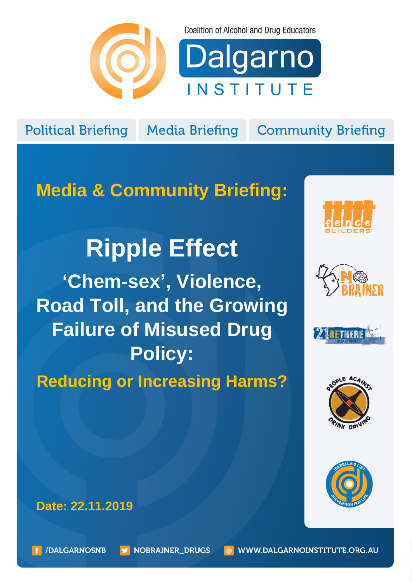

**Coalition of Alcohol and Drug Educators** 

Dalgarno INSTITUTE

**Political Briefing** 

**Media Briefing** 

**Community Briefing** 

## **Media & Community Briefing:**

# **Ripple Effect**

**'Chem-sex', Violence, Road Toll, and the Growing Failure of Misused Drug Policy:** 

**Reducing or Increasing Harms?**











**Date: 22.11.2019**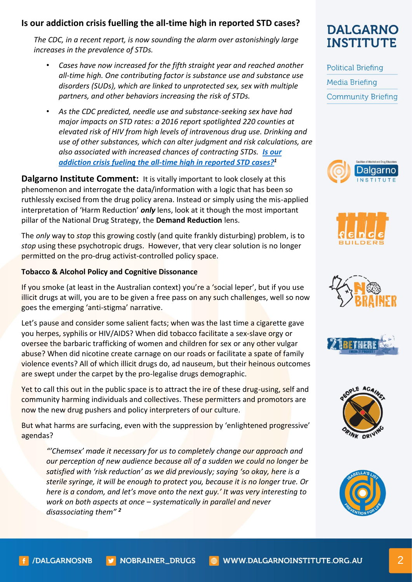#### **Is our addiction crisis fuelling the all-time high in reported STD cases?**

*The CDC, in a recent report, is now sounding the alarm over astonishingly large increases in the prevalence of STDs.* 

- *Cases have now increased for the fifth straight year and reached another all-time high. One contributing factor is substance use and substance use disorders (SUDs), which are linked to unprotected sex, sex with multiple partners, and other behaviors increasing the risk of STDs.*
- *As the CDC predicted, needle use and substance-seeking sex have had major impacts on STD rates: a 2016 report spotlighted 220 counties at elevated risk of HIV from high levels of intravenous drug use. Drinking and use of other substances, which can alter judgment and risk calculations, are also associated with increased chances of contracting STDs. [Is our](https://www.addictionpolicy.org/blog/tag/research-you-can-use/stds-and-substance-use)  [addiction crisis fueling](https://www.addictionpolicy.org/blog/tag/research-you-can-use/stds-and-substance-use) [the all-time high in reported STD cases?](https://www.addictionpolicy.org/blog/tag/research-you-can-use/stds-and-substance-use) 1*

**Dalgarno Institute Comment:** It is vitally important to look closely at this phenomenon and interrogate the data/information with a logic that has been so ruthlessly excised from the drug policy arena. Instead or simply using the mis-applied interpretation of 'Harm Reduction' *only* lens, look at it though the most important pillar of the National Drug Strategy, the **Demand Reduction** lens.

The *only* way to *stop* this growing costly (and quite frankly disturbing) problem, is to *stop* using these psychotropic drugs. However, that very clear solution is no longer permitted on the pro-drug activist-controlled policy space.

#### **Tobacco & Alcohol Policy and Cognitive Dissonance**

If you smoke (at least in the Australian context) you're a 'social leper', but if you use illicit drugs at will, you are to be given a free pass on any such challenges, well so now goes the emerging 'anti-stigma' narrative.

Let's pause and consider some salient facts; when was the last time a cigarette gave you herpes, syphilis or HIV/AIDS? When did tobacco facilitate a sex-slave orgy or oversee the barbaric trafficking of women and children for sex or any other vulgar abuse? When did nicotine create carnage on our roads or facilitate a spate of family violence events? All of which illicit drugs do, ad nauseum, but their heinous outcomes are swept under the carpet by the pro-legalise drugs demographic.

Yet to call this out in the public space is to attract the ire of these drug-using, self and community harming individuals and collectives. These permitters and promotors are now the new drug pushers and policy interpreters of our culture.

But what harms are surfacing, even with the suppression by 'enlightened progressive' agendas?

*"'Chemsex' made it necessary for us to completely change our approach and our perception of new audience because all of a sudden we could no longer be satisfied with 'risk reduction' as we did previously; saying 'so okay, here is a sterile syringe, it will be enough to protect you, because it is no longer true. Or here is a condom, and let's move onto the next guy.' It was very interesting to work on both aspects at once – systematically in parallel and never disassociating them" 2*

## **DALGARNO INSTITUTE**

**Political Briefing Media Briefing Community Briefing** 











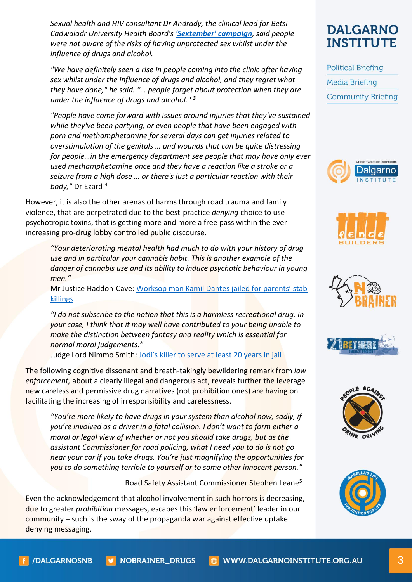*Sexual health and HIV consultant Dr Andrady, the clinical lead for Betsi Cadwaladr University Health Board's ['Sextember' campaign](http://www.wales.nhs.uk/sitesplus/861/news/49215/local), said people were not aware of the risks of having unprotected sex whilst under the influence of drugs and alcohol.*

*"We have definitely seen a rise in people coming into the clinic after having sex whilst under the influence of drugs and alcohol, and they regret what they have done," he said. "… people forget about protection when they are under the influence of drugs and alcohol." <sup>3</sup>*

*"People have come forward with issues around injuries that they've sustained while they've been partying, or even people that have been engaged with porn and methamphetamine for several days can get injuries related to overstimulation of the genitals … and wounds that can be quite distressing for people…in the emergency department see people that may have only ever used methamphetamine once and they have a reaction like a stroke or a seizure from a high dose … or there's just a particular reaction with their body,"* Dr Ezard <sup>4</sup>

However, it is also the other arenas of harms through road trauma and family violence, that are perpetrated due to the best-practice *denying* choice to use psychotropic toxins, that is getting more and more a free pass within the everincreasing pro-drug lobby controlled public discourse.

*"Your deteriorating mental health had much to do with your history of drug use and in particular your cannabis habit. This is another example of the danger of cannabis use and its ability to induce psychotic behaviour in young men."*

Mr Justice Haddon-Cave: Wor[ksop man Kamil Dantes jailed for parents' stab](https://www.bbc.co.uk/news/uk-england-nottinghamshire-33605877)  [killings](https://www.bbc.co.uk/news/uk-england-nottinghamshire-33605877)

*"I do not subscribe to the notion that this is a harmless recreational drug. In your case, I think that it may well have contributed to your being unable to make the distinction between fantasy and reality which is essential for normal moral judgements."*

Judge Lord Nimmo Smith: [Jodi's killer to serve at least 20 years in jail](https://www.theguardian.com/uk/2005/feb/12/ukcrime.kirstyscott)

The following cognitive dissonant and breath-takingly bewildering remark from *law enforcement,* about a clearly illegal and dangerous act, reveals further the leverage new careless and permissive drug narratives (not prohibition ones) are having on facilitating the increasing of irresponsibility and carelessness.

*"You're more likely to have drugs in your system than alcohol now, sadly, if you're involved as a driver in a fatal collision. I don't want to form either a moral or legal view of whether or not you should take drugs, but as the assistant Commissioner for road policing, what I need you to do is not go near your car if you take drugs. You're just magnifying the opportunities for you to do something terrible to yourself or to some other innocent person."*

Road Safety Assistant Commissioner Stephen Leane<sup>5</sup>

Even the acknowledgement that alcohol involvement in such horrors is decreasing, due to greater *prohibition* messages, escapes this 'law enforcement' leader in our community – such is the sway of the propaganda war against effective uptake denying messaging.

### **DALGARNO INSTITUTE**

**Political Briefing Media Briefing Community Briefing**